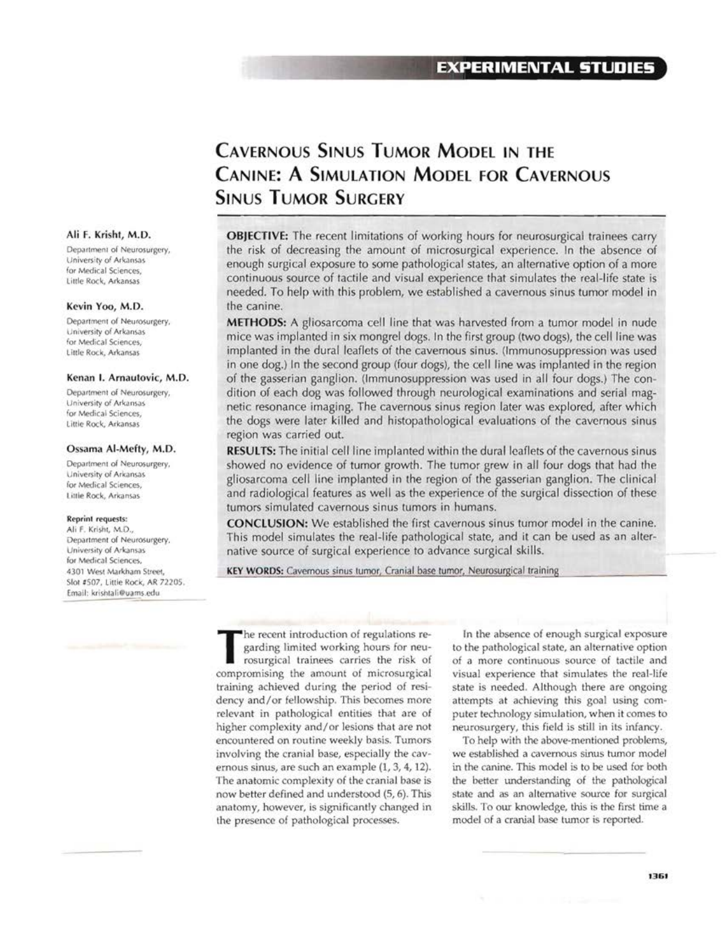# CAVERNOUS SINUS TUMOR MODEL IN THE CANINE: A SIMULATION MODEL FOR CAVERNOUS SINUS TUMOR SURGERY

-

OBJECTIVE: The recent limitations of working hours for neurosurgical trainees carry the risk of decreasing the amount of microsurgical experience. In the absence of enough surgical exposure to some pathological states, an alternative option of a more continuous source of tactile and visual experience that simulates the real-life state is needed. To help with this problem, we established a cavernous sinus tumor model in the canine.

METHODS: A gliosarcoma cell line that was harvested from a tumor model in nude mice was implanted in six mongrel dogs, In the first group (two dogs), the cell line was implanted in the dural leaflets of the cavernous sinus. (Immunosuppression was used in one dog.) In the second group (four dogs), the cell line was implanted in the region of the gasserian ganglion. (Immunosuppression was used in all four dogs.) The condition of each dog was followed through neurological examinations and serial magnetic resonance imaging. The cavernous sinus region later was explored, after which the dogs were later killed and histopathological evaluations of the cavernous sinus region was carried out.

RESULTS: The initial cell line implanted within the dural leaflets of the cavernous sinus showed no evidence of tumor growth. The tumor grew in all four dogs that had the gliosarcoma cell line implanted in the region of the gasserian ganglion. The clinical and radiological features as well as the experience of the surgical dissection of these tumors simulated cavernous sinus tumors in humans.

CONCLUSION: We established the first cavernous sinus tumor model in the canine. This model simulates the real-life pathological state, and it can be used as an alternative source of surgical experience to advance surgical skills.

KEY WORDS: Cavernous sinus tumor, Cranial base tumor, Neurosurgical training

he recent introduction of regulations regarding limited working hours for neurosurgical trainees carries the risk of compromising the amount of microsurgical training achieved during the period of residency and/or fellowship. This becomes more relevant in pathological entities that are of higher complexity and/ or lesions that are not encountered on routine weekly basis. Tumors involVing the cranial base, especially the cavernous sinus, are such an example (1, 3, 4, 12). The anatomic complexity of the cranial base is now better defined and understood (5, 6). This anatomy, however, is significantly changed in the presence of pathological processes.

In the absence of enough surgical exposure to the pathological state, an alternative option of a more continuous source of tactile and visual experience that simulates the real-life state is needed. Although there are ongoing attempts at achieving this goal using computer technology simulation, when it comes to neurosurgery, this field is still in its infancy.

To help with the above-mentioned problems, we established a cavernous sinus tumor model in the canine. This model is to be used for both the better understanding of the pathological state and as an alternative source for surgical skills. To our knowledge, this is the first time a model of a cranial base tumor is reported.

#### Ali F. Krisht, M.D.

Department of Neurosurgery, University of Arkdnsas for Medical Sciences, Little Rock, Arkansas

#### Kevin Yoo, M.D.

Department of Neurosurgery, University of Arkansas for Medical Sciences, Lillie Rock, Arkansas

#### Kenan I. Arnautovic, M.D.

Department of Neurosurgery, University of Arkansas for Medical Sciences, lillie Rock, Arkansas

#### Ossama AI-Mefty, M.D.

Department of Neurosurgery, University of Arkansas for Medical Sciences, Lillie Rock, Arkansas

#### Reprint requests:

Ali F. Krishl, M.D., Department of Neurosurgery, University of Arkansas for Medical Sciences, 4301 West Markham Street, Slot #507, Little Rock, AR 72205. Email: krishtali@uams.edu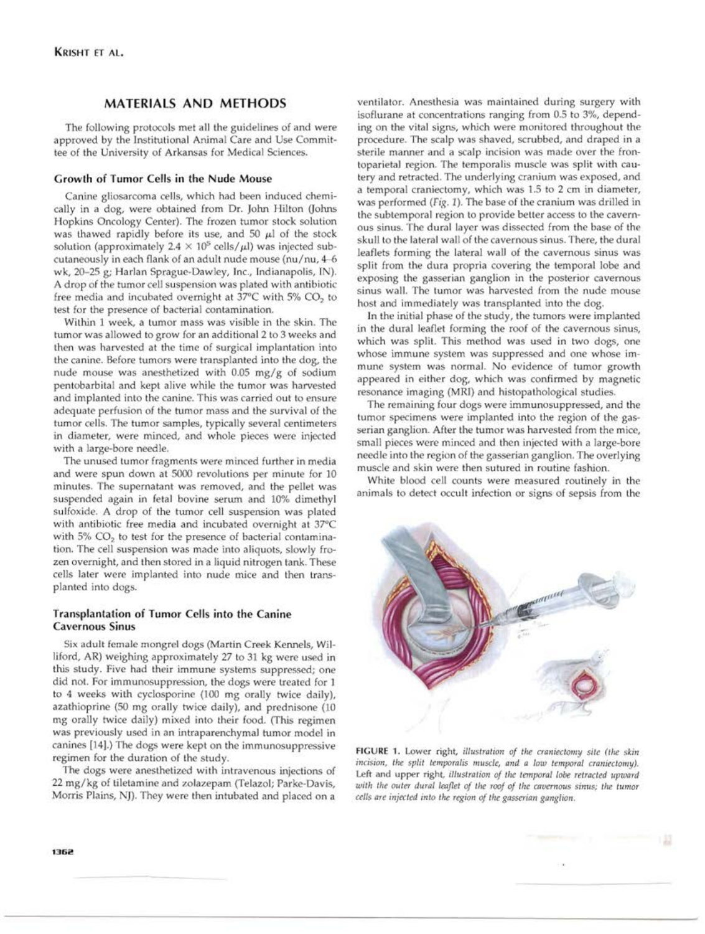# **MATERIALS AND METHODS**

The following protocols met all the guidelines of and were approved by the Institutional Animal Care and Use Committee of the University of Arkansas for Medical Sciences.

## **Growth of Tumor Cells in the Nude Mouse**

Canine gliosarcoma cells, which had been induced chemically in a dog, were obtained from Dr. John Hilton (Johns Hopkins Oncology Center). The frozen tumor stock solution was thawed rapidly before its use, and 50  $\mu$ l of the stock solution (approximately  $2.4 \times 10^5$  cells/ $\mu$ l) was injected subcutaneously in each flank of an adult nude mouse (nu/nu,  $4-6$ wk, 20-25 g; Harlan Sprague-Dawley, Inc., Indianapolis, IN). A drop of the tumor cell suspension was plated with antibiotic free media and incubated overnight at 37°C with 5% CO<sub>2</sub> to test for the presence of bacterial contamination.

Within 1 week, a tumor mass was visible in the skin. The tumor was allowed to grow for an additional 2 to 3 weeks and then was harvested at the time of surgical implantation into the canine. Before tumors were transplanted into the dog, the nude mouse was anesthetized with 0.05 mg/g of sodium pentobarbital and kept alive while the tumor was harvested and implanted into the canine. This was carried out to ensure adequate perfusion of the tumor mass and the survival of the tumor cells. The tumor samples, typically several centimeters in diameter, were minced, and whole pieces were injected with a large-bore needle.

The unused tumor fragments were minced further in media and were spun down at 5000 revolutions per minute for 10 minutes. The supernatant was removed, and the pellet was suspended again in fetal bovine serum and 10% dimethyl sulfoxide. A drop of the tumor cell suspension was plated with antibiotic free media and incubated overnight at 37°C with  $5\%$  CO<sub>2</sub> to test for the presence of bacterial contamination. The cell suspension was made into aliquots, slowly frozen overnight, and then stored in a liquid nitrogen tank. These cells later were implanted into nude mice and then transplanted into dogs.

## **Transplantation of Tumor Cells into the Canine Cavernous Sinus**

Six adult female mongrel dogs (Martin Creek Kennels, Williford, AR) weighing approximately 27 to 31 kg were used in this study. Five had their immune systems suppressed; one did not. For immunosuppression, the dogs were treated for 1 to 4 weeks with cyclosporine (100 mg orally twice daily), azathioprine (50 mg orally twice daily), and prednisone (10 mg orally twice daily) mixed into their food. (This regimen was previously used in an intraparenchymal tumor model in canines [14].) The dogs were kept on the immunosuppressive regimen for the duration of the study.

The dogs were anesthetized with intravenous injections of 22 mg/kg of tiletamine and zolazepam (Telazol; Parke-Davis, Morris Plains, NJ). They were then intubated and placed on a

ventilator. Anesthesia was maintained during surgery with isoflurane at concentrations ranging from 0.5 to 3%, depending on the vital signs, which were monitored throughout the procedure. The scalp was shaved, scrubbed, and draped in a sterile manner and a scalp incision was made over the frontoparietal region. The temporalis muscle was split with cautery and retracted. The underlying cranium was exposed, and a temporal craniectomy, which was 1.5 to 2 cm in diameter, was performed (Fig. 1). The base of the cranium was drilled in the subtemporal region to provide better access to the cavernous sinus. The dural layer was dissected from the base of the skull to the lateral wall of the cavernous sinus. There, the dural leaflets forming the lateral wall of the cavernous sinus was split from the dura propria covering the temporal lobe and exposing the gasserian ganglion in the posterior cavernous sinus wall. The tumor was harvested from the nude mouse host and immediately was transplanted into the dog.

In the initial phase of the study, the tumors were implanted in the dural leaflet forming the roof of the cavernous sinus, which was split. This method was used in two dogs, one whose immune system was suppressed and one whose immune system was normal. No evidence of tumor growth appeared in either dog, which was confirmed by magnetic resonance imaging (MRI) and histopathological studies.

The remaining four dogs were immunosuppressed, and the tumor specimens were implanted into the region of the gasserian ganglion. After the tumor was harvested from the mice, small pieces were minced and then injected with a large-bore needle into the region of the gasserian ganglion. The overlying muscle and skin were then sutured in routine fashion.

White blood cell counts were measured routinely in the animals to detect occult infection or signs of sepsis from the



**FIGURE** 1. Lower right, *illustration of the craniectomy site (the skin incision, the split temporalis muscle, and a low temporal craniectomy).* Left and upper right, *illustration of the temporal lobe retracted upward with the outer dural leaflet of the roof of the cavernous sinus; the tumor cells are injected into the region of the gasserian ganglion.*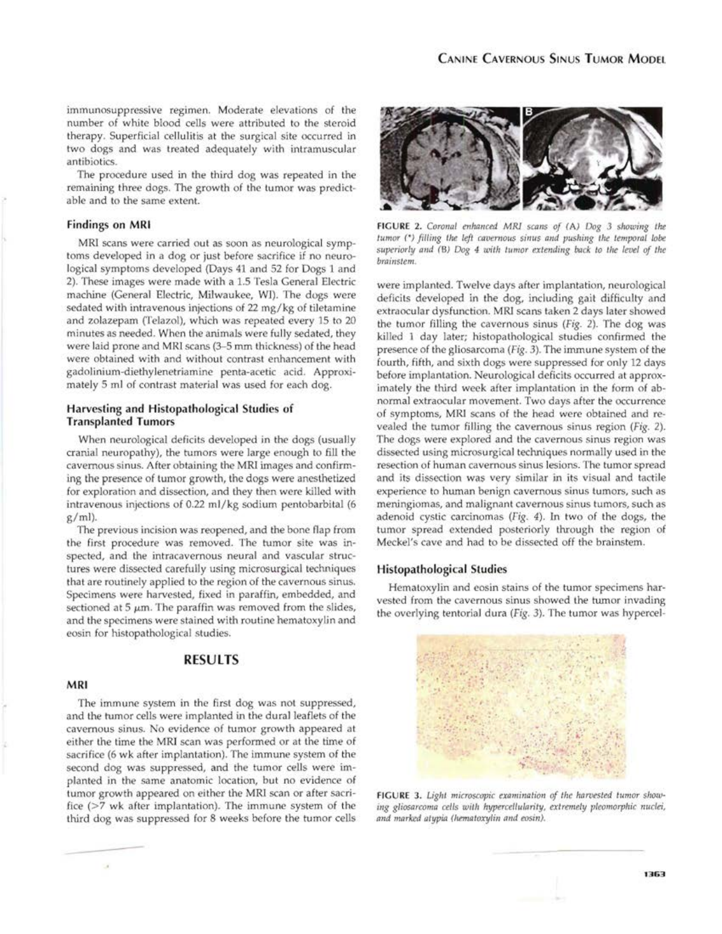immunosuppressive regimen. Moderate elevations of the number of white blood cells were attributed to the steroid therapy. Superficial cellulitis at the surgical site occurred in two dogs and was treated adequately with intramuscular antibiotics.

The procedure used in the third dog was repeated in the remaining three dogs. The growth of the tumor was predictable and to the same extent.

#### **Findings on MRI**

MRI scans were carried out as soon as neurological symptoms developed in a dog or just before sacrifice if no neurological symptoms developed (Days 41 and 52 for Dogs 1 and 2). These images were made with a 1.5 Tesla General Electric machine (General Electric, Milwaukee, WI). The dogs were sedated with intravenous injections of 22 mg/kg of tiletamine and zolazepam (Telazol), which was repeated every 15 to 20 minutes as needed. When the animals were fully sedated, they were laid prone and MRI scans (3-5 mm thickness) of the head were obtained with and without contrast enhancement with gadolinium-diethylenetriamine penta-acetic acid. Approximately 5 ml of contrast material was used for each dog.

## **Harvesting and Histopathological Studies of Transplanted Tumors**

When neurological deficits developed in the dogs (usually cranial neuropathy), the tumors were large enough to fill the cavernous sinus. After obtaining the MRI images and confirming the presence of tumor growth, the dogs were anesthetized for exploration and dissection, and they then were killed with intravenous injections of 0.22 ml/kg sodium pentobarbital (6 g/ml).

The previous incision was reopened, and the bone flap from the first procedure was removed. The tumor site was inspected, and the intracavernous neural and vascular structures were dissected carefully using microsurgical techniques that are routinely applied to the region of the cavernous sinus. Specimens were harvested, fixed in paraffin, embedded, and sectioned at 5  $\mu$ m. The paraffin was removed from the slides, and the specimens were stained with routine hematoxylin and eosin for histopathological studies.

## **RESULTS**

#### **MRI**

-----

The immune system in the first dog was not suppressed, and the tumor cells were implanted in the dural leaflets of the cavernous sinus. No evidence of tumor growth appeared at either the time the MRI scan was performed or at the time of sacrifice (6 wk after implantation). The immune system of the second dog was suppressed, and the tumor cells were implanted in the same anatomic location, but no evidence of tumor growth appeared on either the MRI scan or after sacrifice (>7 wk after implantation). The immune system of the third dog was suppressed for 8 weeks before the tumor cells



**FIGURE** 2. *Coronal enhanced MRI scans of* (A) *Dog* 3 *showing the tumor* (\*) *filling the left cavernous sinus and pushing the temporal lobe superiorly and* (B) *Dog* 4 *with tumor extending back* to *the level of the brainstem.*

were implanted. Twelve days after implantation, neurological deficits developed in the dog, including gait difficulty and extraocular dysfunction. MRl scans taken 2 days later showed the tumor filling the cavernous sinus (Fig. 2). The dog was killed 1 day later; histopathological studies confirmed the presence of the gliosarcoma (Fig. 3). The immune system of the fourth, fifth, and sixth dogs were suppressed for only 12 days before implantation. Neurological deficits occurred at approximately the third week after implantation in the form of abnormal extraocular movement. Two days after the occurrence of symptoms, MRl scans of the head were obtained and revealed the tumor filling the cavernous sinus region (Fig. 2). The dogs were explored and the cavernous sinus region was dissected using microsurgical techniques normally used in the resection of human cavernous sinus lesions. The tumor spread and its dissection was very similar in its visual and tactile experience to human benign cavernous sinus tumors, such as meningiomas, and malignant cavernous sinus tumors, such as adenoid cystic carcinomas (Fig. 4). In two of the dogs, the tumor spread extended posteriorly through the region of Meckel's cave and had to be dissected off the brainstem.

# **Histopathological Studies**

Hematoxylin and eosin stains of the tumor specimens harvested from the cavernous sinus showed the tumor invading the overlying tentorial dura (Fig. 3). The tumor was hypercel-



**FIGURE** 3. *Light microscopic examination of the harvested tumor showing gliosarcoma cells with hypercellularity, extremely pleomorphic nuclei, and marked atypia (hematoxylin and eosin).*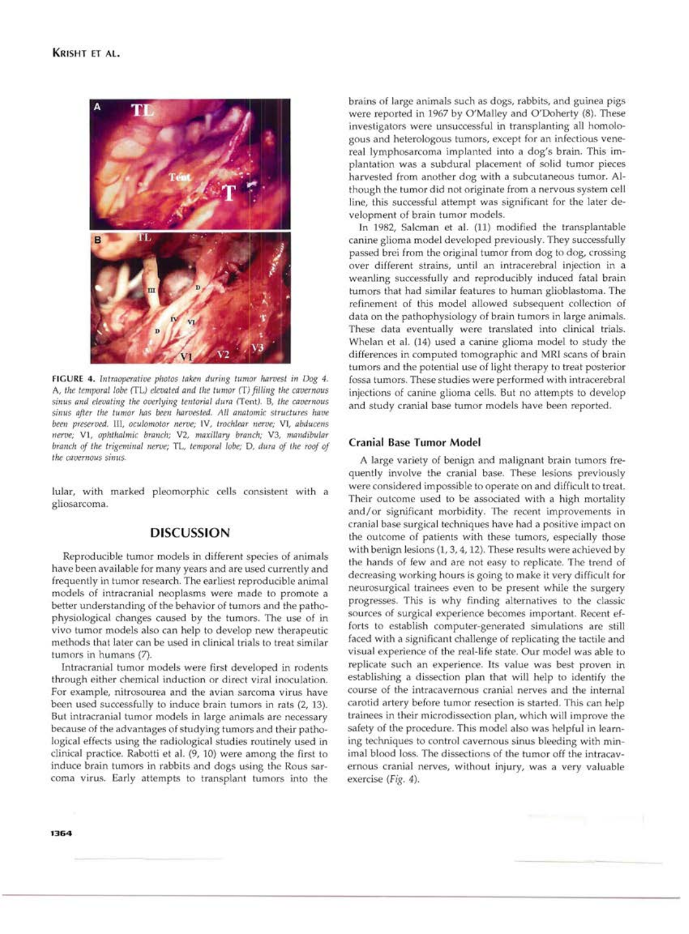

**FICURE** 4. *Intraoperative photos taken during tumor harvest* in *Dog 4.* A, *the temporal lobe* (TL) *elevated and the tumor* (T) *filling the cavernous sinus and elevating the overlying tentorial dura* (Tent). B, *the cavernous sinus after the tumor has been harvested. All anatomic structures have been preserved.* Ill, *oculomotor nerve;* IV, *trochlear nerve;* VI, *abducens nerve;* VI, *ophthalmic branch;* V2, *maxillanj branch;* V3, *mandibular branch of the trigeminal nerve;* TL, *temporal lobe;* D, *dura of the roof of the cavernous sinus.*

lular, with marked pleomorphic cells consistent with a gliosarcoma.

# **DISCUSSION**

Reproducible tumor models in different species of animals have been available for many years and are used currently and frequently in tumor research. The earliest reproducible animal models of intracranial neoplasms were made to promote a better understanding of the behavior of tumors and the pathophysiological changes caused by the tumors. The use of in vivo tumor models also can help to develop new therapeutic methods that later can be used in clinical trials to treat similar tumors in humans (7).

Intracranial tumor models were first developed in rodents through either chemical induction or direct viral inoculation. For example, nitrosourea and the avian sarcoma virus have been used successfully to induce brain tumors in rats (2, 13). But intracranial tumor models in large animals are necessary because of the advantages of studying tumors and their pathological effects using the radiological studies routinely used in clinical practice. Rabotti et al. (9, 10) were among the first to induce brain tumors in rabbits and dogs using the Rous sarcoma virus. Early attempts to transplant tumors into the

were reported in 1967 by O'Malley and O'Doherty (8). These investigators were unsuccessful in transplanting all homologous and heterologous tumors, except for an infectious venereal lymphosarcoma implanted into a dog's brain. This implantation was a subdural placement of solid tumor pieces harvested from another dog with a subcutaneous tumor. Although the tumor did not originate from a nervous system cell line, this successful attempt was significant for the later development of brain tumor models. In 1982, Salcman et al. (11) modified the transplantable

canine glioma model developed previously. They successfully passed brei from the original tumor from dog to dog, crossing over different strains, until an intracerebral injection in a weanling successfully and reproducibly induced fatal brain tumors that had similar features to human glioblastoma. The refinement of this model allowed subsequent collection of data on the pathophysiology of brain tumors in large animals. These data eventually were translated into clinical trials. Whelan et al. (14) used a canine glioma model to study the differences in computed tomographic and MRi scans of brain tumors and the potential use of light therapy to treat posterior fossa tumors. These studies were performed with intracerebral injections of canine glioma cells. But no attempts to develop and study cranial base tumor models have been reported.

brains of large animals such as dogs, rabbits, and guinea pigs

## **Cranial Base Tumor Model**

A large variety of benign and malignant brain tumors frequently involve the cranial base. These lesions previously were considered impossible to operate on and difficult to treat. Their outcome used to be associated with a high mortality and/or significant morbidity. The recent improvements in cranial base surgical techniques have had a positive impact on the outcome of patients with these tumors, especially those with benign lesions (1, 3, 4,12). These results were achieved by the hands of few and are not easy to replicate. The trend of decreasing working hours is going to make it very difficult for neurosurgical trainees even to be present while the surgery progresses. This is why finding alternatives to the classic sources of surgical experience becomes important. Recent efforts to establish computer-generated simulations are still faced with a significant challenge of replicating the tactile and visual experience of the real-life state. Our model was able to replicate such an experience. Its value was best proven in establishing a dissection plan that will help to identify the course of the intracavernous cranial nerves and the internal carotid artery before tumor resection is started. This can help trainees in their microdissection plan, which will improve the safety of the procedure. This model also was helpful in learning techniques to control cavernous sinus bleeding with minimal blood loss. The dissections of the tumor off the intracavernous cranial nerves, without injury, was a very valuable exercise (Fig. 4).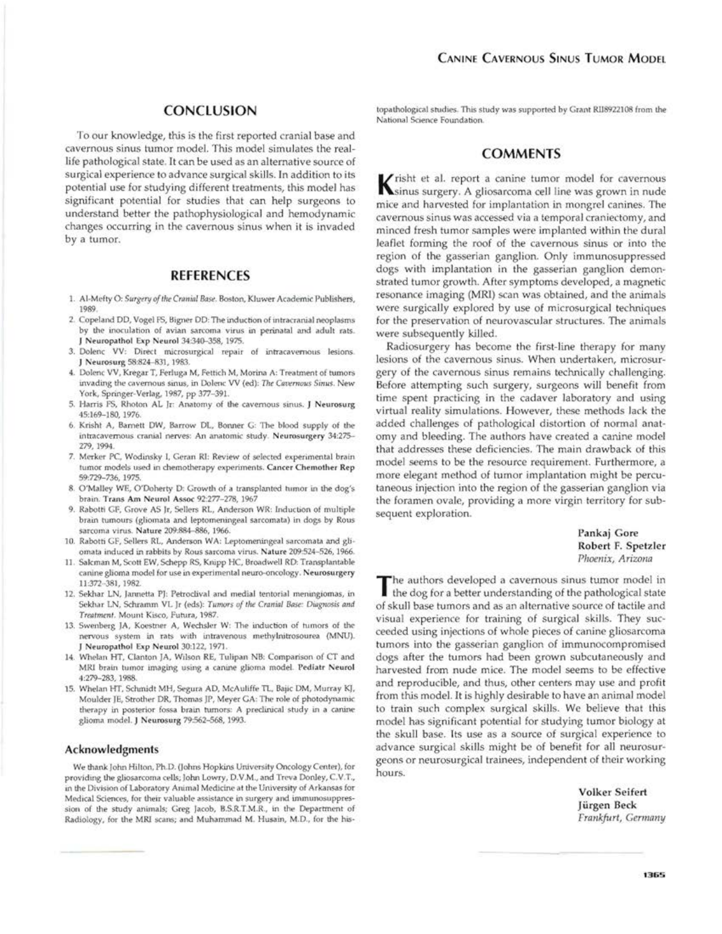# **CONCLUSION**

To our knowledge, this is the first reported cranial base and cavernous sinus tumor model. This model simulates the reallife pathological state. It can be used as an alternative source of surgical experience to advance surgical skills. In addition to its potential use for studying different treatments, this model has significant potential for studies that can help surgeons to understand better the pathophysiological and hemodynamic changes occurring in the cavernous sinus when it is invaded by a tumor.

## **REFERENCES**

- 1. Al-Mefty O: Surgery of the Cranial Base. Boston, Kluwer Academic Publishers, 1989.
- 2. Copeland DD, Vogel FS, Bigner DD: The induction of intracranial neoplasms by the inoculation of avian sarcoma virus in perinatal and adult rats. J Neuropathol Exp Neurol 34:340-358, 1975.
- 3. Dolenc VV: Direct microsurgical repair 01 intracavernous lesions. J Neurosurg 58:824-831,1983.
- 4. Dolenc VV, Kregar T, Ferluga M, Fettich M, Morina A: Treatment of tumors invading the cavernous sinus, in Dolenc VV (ed): *The Cavernous Sinus.* New York, Springer-Verlag, 1987, pp 377-39l.
- 5. Harris FS, Rhoton AL Jr: Anatomy of the cavernous sinus. J Neurosurg 45:169-180, 1976.
- 6. Krisht A, Barnett DW, Barrow DL, Bonner G: The blood supply 01 the intracavernous cranial nerves: An anatomic study. Neurosurgery 34:275-279, 1994.
- 7. Merker PC, Wodinsky 1, Geran Rl: Review 01 selected experimental brain tumor models used in chemotherapy experiments. Cancer Chemother Rep 59:729-736, 1975.
- 8. O'Malley WE, O'Doherty D: Growth of a transplanted tumor in the dog's brain. Trans Am Neurol Assoc 92:277-278, 1967
- 9. Rabotti GF, Grove AS Jr, Sellers RL, Anderson WR: Induction of multiple brain tumours (gliomata and leptomeningeal sarcomata) in dogs by Rous sarcoma virus. Nature 209:884-886, 1966.
- 10. Rabotti GF, Sellers RL, Anderson WA: Leptomeningeal sarcomata and gliomata induced in rabbits by Rous sarcoma virus. Nature 209:524-526, 1966.
- 11. Salcman M, Scott EW, Schepp RS, Knipp HC, Broadwell RD: Transplantable canine glioma model for use in experimental neuro-oncology. Neurosurgery 11:372-381, 1982.
- 12. Sekhar LN, Jannetta PJ: Petroclival and medial tentorial meningiomas, in Sekhar LN, Schramm VL Jr (eds): *Tumors of the Cranial Base: Diagnosis and Treatment.* Mount Kisco, Futura, 1987.
- 13. Swenberg JA, Koestner A, Wechsler W: The induction of tumors of the nervous system in rats with intravenous methylnitrosourea (MNU). J Neuropathol Exp Neurol 30:122, 1971.
- 14. Whelan HT, Clanton JA, Wilson RE, Tulipan NB: Comparison of CT and MRl brain tumor imaging using a canine glioma model. Pedialr Neurol 4:279-283,1988.
- 15. Whelan HT, Schmidt MH, Segura AD, McAuliffe TL, Bajic DM, Murray KJ, Moulder JE, Strother DR, Thomas JP, Meyer GA: The role 01 photodynamic therapy in posterior fossa brain tumors: A preclinical study in a canine glioma model. J Neurosurg 79:562-568, 1993.

#### Acknowledgments

We thank John Hilton, Ph.D. (Johns Hopkins University Oncology Center), for providing the gliosarcoma cells; John Lowry, D.V.M., and Treva Donley, C.V.T., in the Division 01 Laboratory Animal Medicine at the University 01 Arkansas for Medical Sciences, for their valuable assistance in surgery and immunosuppression of the study animals; Greg Jacob, B.S.R.T.M.R., in the Department of Radiology, for the MRI scans; and Muhammad M. Husain, M.D., for the histopathological studies. This study was supported by Grant RII8922108 from the National Science Foundation.

# **COMMENTS**

Krisht et al. report <sup>a</sup> canine tumor model for cavernous sinus surgery. A gliosarcoma cell line was grown in nude mice and harvested for implantation in mongrel canines. The cavernous sinus was accessed via a temporal craniectomy, and minced fresh tumor samples were implanted within the dural leaflet forming the roof of the cavernous sinus or into the region of the gasserian ganglion. Only immunosuppressed dogs with implantation in the gasserian ganglion demonstrated tumor growth. After symptoms developed, a magnetic resonance imaging (MRI) scan was obtained, and the animals were surgically explored by use of microsurgical techniques for the preservation of neurovascular structures. The animals were subsequently killed.

Radiosurgery has become the first-line therapy for many lesions of the cavernous sinus. When undertaken, microsurgery of the cavernous sinus remains technically challenging. Before attempting such surgery, surgeons will benefit from time spent practicing in the cadaver laboratory and using virtual reality simulations. However, these methods lack the added challenges of pathological distortion of normal anatomy and bleeding. The authors have created a canine model that addresses these deficiencies. The main drawback of this model seems to be the resource requirement. Furthermore, a more elegant method of tumor implantation might be percutaneous injection into the region of the gasserian ganglion via the foramen ovale, providing a more virgin territory for subsequent exploration.

> Pankaj Gore Robert F. Spetzler *Phoenix, Arizona*

The authors developed <sup>a</sup> cavernous sinus tumor model in the dog for a better understanding of the pathological state of skull base tumors and as an alternative source of tactile and visual experience for training of surgical skills. They succeeded using injections of whole pieces of canine gliosarcoma tumors into the gasserian ganglion of immunocompromised dogs after the tumors had been grown subcutaneously and harvested from nude mice. The model seems to be effective and reproducible, and thus, other centers may use and profit from this model. It is highly desirable to have an animal model to train such complex surgical skills. We believe that this model has significant potential for studying tumor biology at the skull base. Its use as a source of surgical experience to advance surgical skills might be of benefit for all neurosurgeons or neurosurgical trainees, independent of their working hours.

> Volker Seifert Jiirgen Beck *Frankfurt, Germany*